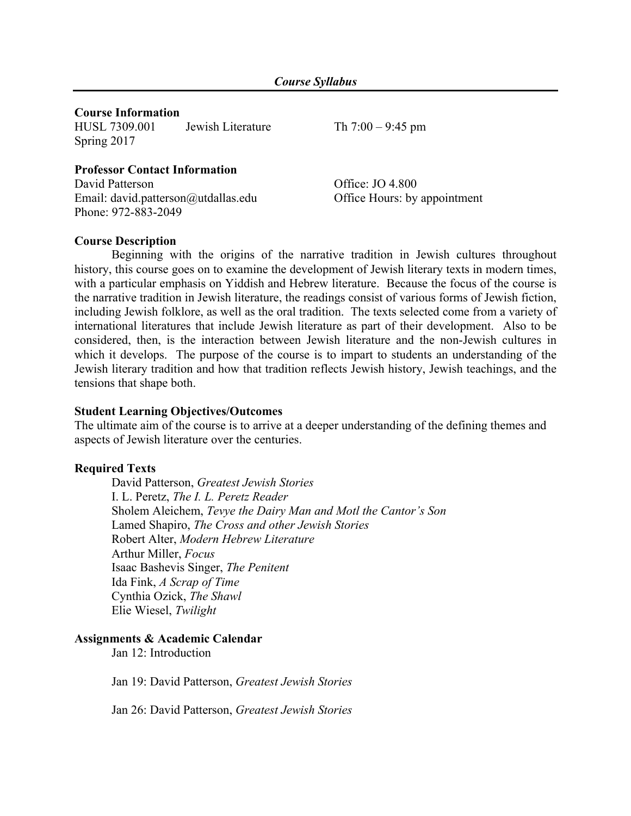### **Course Information**

HUSL 7309.001 Jewish Literature Th 7:00 – 9:45 pm Spring 2017

#### **Professor Contact Information** David Patterson Office: JO 4.800

Email: david.patterson@utdallas.edu Office Hours: by appointment Phone: 972-883-2049

### **Course Description**

Beginning with the origins of the narrative tradition in Jewish cultures throughout history, this course goes on to examine the development of Jewish literary texts in modern times, with a particular emphasis on Yiddish and Hebrew literature. Because the focus of the course is the narrative tradition in Jewish literature, the readings consist of various forms of Jewish fiction, including Jewish folklore, as well as the oral tradition. The texts selected come from a variety of international literatures that include Jewish literature as part of their development. Also to be considered, then, is the interaction between Jewish literature and the non-Jewish cultures in which it develops. The purpose of the course is to impart to students an understanding of the Jewish literary tradition and how that tradition reflects Jewish history, Jewish teachings, and the tensions that shape both.

#### **Student Learning Objectives/Outcomes**

The ultimate aim of the course is to arrive at a deeper understanding of the defining themes and aspects of Jewish literature over the centuries.

## **Required Texts**

David Patterson, *Greatest Jewish Stories* I. L. Peretz, *The I. L. Peretz Reader* Sholem Aleichem, *Tevye the Dairy Man and Motl the Cantor's Son* Lamed Shapiro, *The Cross and other Jewish Stories* Robert Alter, *Modern Hebrew Literature* Arthur Miller, *Focus* Isaac Bashevis Singer, *The Penitent* Ida Fink, *A Scrap of Time* Cynthia Ozick, *The Shawl* Elie Wiesel, *Twilight*

#### **Assignments & Academic Calendar**

Jan 12: Introduction

Jan 19: David Patterson, *Greatest Jewish Stories*

Jan 26: David Patterson, *Greatest Jewish Stories*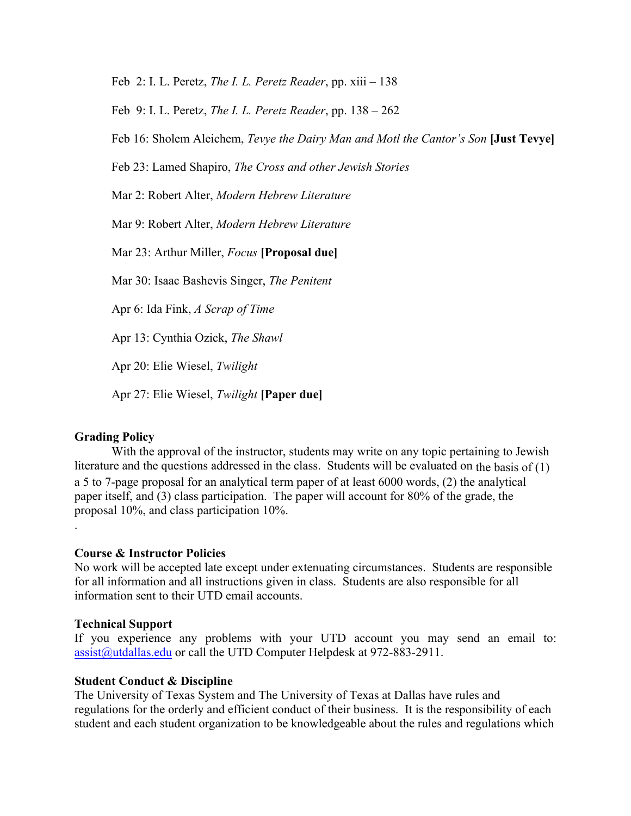Feb 2: I. L. Peretz, *The I. L. Peretz Reader*, pp. xiii – 138

Feb 9: I. L. Peretz, *The I. L. Peretz Reader*, pp. 138 – 262

Feb 16: Sholem Aleichem, *Tevye the Dairy Man and Motl the Cantor's Son* **[Just Tevye]**

Feb 23: Lamed Shapiro, *The Cross and other Jewish Stories*

Mar 2: Robert Alter, *Modern Hebrew Literature*

Mar 9: Robert Alter, *Modern Hebrew Literature*

Mar 23: Arthur Miller, *Focus* **[Proposal due]**

Mar 30: Isaac Bashevis Singer, *The Penitent*

Apr 6: Ida Fink, *A Scrap of Time*

Apr 13: Cynthia Ozick, *The Shawl*

Apr 20: Elie Wiesel, *Twilight*

Apr 27: Elie Wiesel, *Twilight* **[Paper due]**

## **Grading Policy**

.

With the approval of the instructor, students may write on any topic pertaining to Jewish literature and the questions addressed in the class. Students will be evaluated on the basis of (1) a 5 to 7-page proposal for an analytical term paper of at least 6000 words, (2) the analytical paper itself, and (3) class participation. The paper will account for 80% of the grade, the proposal 10%, and class participation 10%.

#### **Course & Instructor Policies**

No work will be accepted late except under extenuating circumstances. Students are responsible for all information and all instructions given in class. Students are also responsible for all information sent to their UTD email accounts.

#### **Technical Support**

If you experience any problems with your UTD account you may send an email to: assist@utdallas.edu or call the UTD Computer Helpdesk at 972-883-2911.

#### **Student Conduct & Discipline**

The University of Texas System and The University of Texas at Dallas have rules and regulations for the orderly and efficient conduct of their business. It is the responsibility of each student and each student organization to be knowledgeable about the rules and regulations which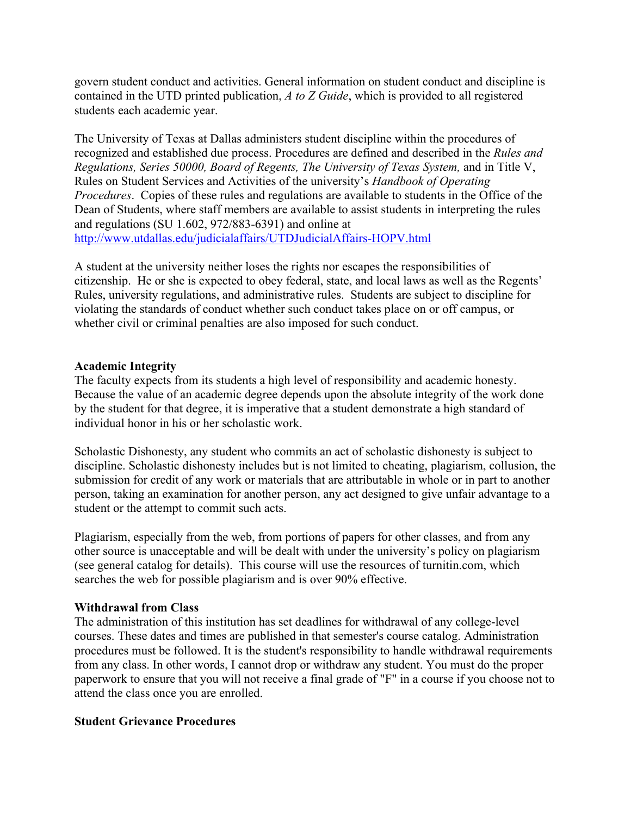govern student conduct and activities. General information on student conduct and discipline is contained in the UTD printed publication, *A to Z Guide*, which is provided to all registered students each academic year.

The University of Texas at Dallas administers student discipline within the procedures of recognized and established due process. Procedures are defined and described in the *Rules and Regulations, Series 50000, Board of Regents, The University of Texas System,* and in Title V, Rules on Student Services and Activities of the university's *Handbook of Operating Procedures*. Copies of these rules and regulations are available to students in the Office of the Dean of Students, where staff members are available to assist students in interpreting the rules and regulations (SU 1.602, 972/883-6391) and online at http://www.utdallas.edu/judicialaffairs/UTDJudicialAffairs-HOPV.html

A student at the university neither loses the rights nor escapes the responsibilities of citizenship. He or she is expected to obey federal, state, and local laws as well as the Regents' Rules, university regulations, and administrative rules. Students are subject to discipline for violating the standards of conduct whether such conduct takes place on or off campus, or whether civil or criminal penalties are also imposed for such conduct.

## **Academic Integrity**

The faculty expects from its students a high level of responsibility and academic honesty. Because the value of an academic degree depends upon the absolute integrity of the work done by the student for that degree, it is imperative that a student demonstrate a high standard of individual honor in his or her scholastic work.

Scholastic Dishonesty, any student who commits an act of scholastic dishonesty is subject to discipline. Scholastic dishonesty includes but is not limited to cheating, plagiarism, collusion, the submission for credit of any work or materials that are attributable in whole or in part to another person, taking an examination for another person, any act designed to give unfair advantage to a student or the attempt to commit such acts.

Plagiarism, especially from the web, from portions of papers for other classes, and from any other source is unacceptable and will be dealt with under the university's policy on plagiarism (see general catalog for details). This course will use the resources of turnitin.com, which searches the web for possible plagiarism and is over 90% effective.

## **Withdrawal from Class**

The administration of this institution has set deadlines for withdrawal of any college-level courses. These dates and times are published in that semester's course catalog. Administration procedures must be followed. It is the student's responsibility to handle withdrawal requirements from any class. In other words, I cannot drop or withdraw any student. You must do the proper paperwork to ensure that you will not receive a final grade of "F" in a course if you choose not to attend the class once you are enrolled.

## **Student Grievance Procedures**